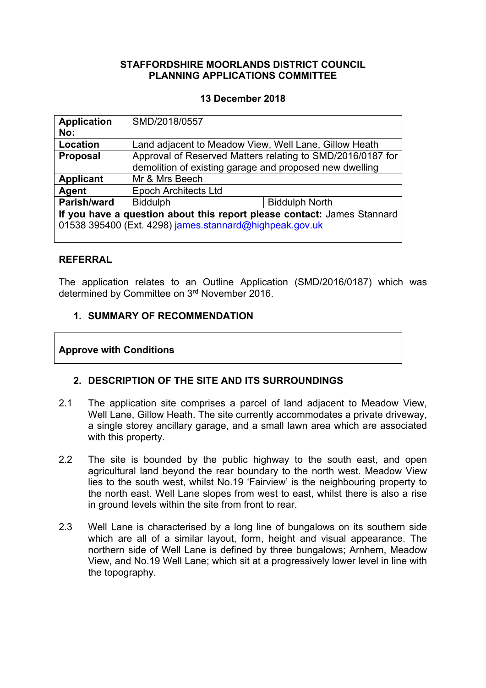# **STAFFORDSHIRE MOORLANDS DISTRICT COUNCIL PLANNING APPLICATIONS COMMITTEE**

# **13 December 2018**

| <b>Application</b>                                                      | SMD/2018/0557                                              |                       |  |
|-------------------------------------------------------------------------|------------------------------------------------------------|-----------------------|--|
| No:                                                                     |                                                            |                       |  |
| Location                                                                | Land adjacent to Meadow View, Well Lane, Gillow Heath      |                       |  |
| <b>Proposal</b>                                                         | Approval of Reserved Matters relating to SMD/2016/0187 for |                       |  |
|                                                                         | demolition of existing garage and proposed new dwelling    |                       |  |
| <b>Applicant</b>                                                        | Mr & Mrs Beech                                             |                       |  |
| Agent                                                                   | <b>Epoch Architects Ltd</b>                                |                       |  |
| Parish/ward                                                             | <b>Biddulph</b>                                            | <b>Biddulph North</b> |  |
| If you have a question about this report please contact: James Stannard |                                                            |                       |  |
| 01538 395400 (Ext. 4298) james.stannard@highpeak.gov.uk                 |                                                            |                       |  |
|                                                                         |                                                            |                       |  |

#### **REFERRAL**

The application relates to an Outline Application (SMD/2016/0187) which was determined by Committee on 3 rd November 2016.

# **1. SUMMARY OF RECOMMENDATION**

# **Approve with Conditions**

# **2. DESCRIPTION OF THE SITE AND ITS SURROUNDINGS**

- 2.1 The application site comprises a parcel of land adjacent to Meadow View, Well Lane, Gillow Heath. The site currently accommodates a private driveway, a single storey ancillary garage, and a small lawn area which are associated with this property.
- 2.2 The site is bounded by the public highway to the south east, and open agricultural land beyond the rear boundary to the north west. Meadow View lies to the south west, whilst No.19 'Fairview' is the neighbouring property to the north east. Well Lane slopes from west to east, whilst there is also a rise in ground levels within the site from front to rear.
- 2.3 Well Lane is characterised by a long line of bungalows on its southern side which are all of a similar layout, form, height and visual appearance. The northern side of Well Lane is defined by three bungalows; Arnhem, Meadow View, and No.19 Well Lane; which sit at a progressively lower level in line with the topography.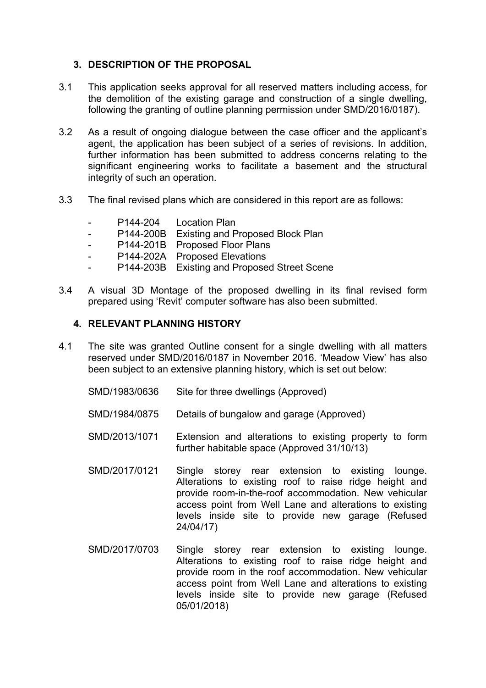# **3. DESCRIPTION OF THE PROPOSAL**

- 3.1 This application seeks approval for all reserved matters including access, for the demolition of the existing garage and construction of a single dwelling, following the granting of outline planning permission under SMD/2016/0187).
- 3.2 As a result of ongoing dialogue between the case officer and the applicant's agent, the application has been subject of a series of revisions. In addition, further information has been submitted to address concerns relating to the significant engineering works to facilitate a basement and the structural integrity of such an operation.
- 3.3 The final revised plans which are considered in this report are as follows:
	- P144-204 Location Plan
	- P144-200B Existing and Proposed Block Plan
	- P144-201B Proposed Floor Plans
	- P144-202A Proposed Elevations
	- P144-203B Existing and Proposed Street Scene
- 3.4 A visual 3D Montage of the proposed dwelling in its final revised form prepared using 'Revit' computer software has also been submitted.

#### **4. RELEVANT PLANNING HISTORY**

- 4.1 The site was granted Outline consent for a single dwelling with all matters reserved under SMD/2016/0187 in November 2016. 'Meadow View' has also been subject to an extensive planning history, which is set out below:
	- SMD/1983/0636 Site for three dwellings (Approved)
	- SMD/1984/0875 Details of bungalow and garage (Approved)
	- SMD/2013/1071 Extension and alterations to existing property to form further habitable space (Approved 31/10/13)
	- SMD/2017/0121 Single storey rear extension to existing lounge. Alterations to existing roof to raise ridge height and provide room-in-the-roof accommodation. New vehicular access point from Well Lane and alterations to existing levels inside site to provide new garage (Refused 24/04/17)
	- SMD/2017/0703 Single storey rear extension to existing lounge. Alterations to existing roof to raise ridge height and provide room in the roof accommodation. New vehicular access point from Well Lane and alterations to existing levels inside site to provide new garage (Refused 05/01/2018)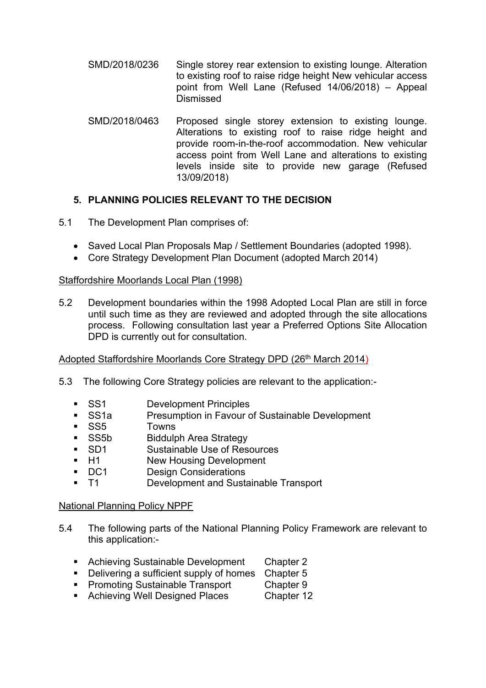- SMD/2018/0236 Single storey rear extension to existing lounge. Alteration to existing roof to raise ridge height New vehicular access point from Well Lane (Refused 14/06/2018) – Appeal Dismissed
- SMD/2018/0463 Proposed single storey extension to existing lounge. Alterations to existing roof to raise ridge height and provide room-in-the-roof accommodation. New vehicular access point from Well Lane and alterations to existing levels inside site to provide new garage (Refused 13/09/2018)

# **5. PLANNING POLICIES RELEVANT TO THE DECISION**

5.1 The Development Plan comprises of:

- Saved Local Plan Proposals Map / Settlement Boundaries (adopted 1998).
- Core Strategy Development Plan Document (adopted March 2014)

# Staffordshire Moorlands Local Plan (1998)

5.2 Development boundaries within the 1998 Adopted Local Plan are still in force until such time as they are reviewed and adopted through the site allocations process. Following consultation last year a Preferred Options Site Allocation DPD is currently out for consultation.

# Adopted Staffordshire Moorlands Core Strategy DPD (26<sup>th</sup> March 2014)

- 5.3 The following Core Strategy policies are relevant to the application:-
	-
	- SS1 Development Principles<br>• SS1a Presumption in Favour c Presumption in Favour of Sustainable Development
	- SS5 Towns
	- **SS5b** Biddulph Area Strategy
	- SD1 Sustainable Use of Resources
	- H1 New Housing Development
	- **DC1** Design Considerations
	- T1 Development and Sustainable Transport

# National Planning Policy NPPF

- 5.4 The following parts of the National Planning Policy Framework are relevant to this application:-
	- **Achieving Sustainable Development Chapter 2**
	- Delivering a sufficient supply of homes Chapter 5
	- **Promoting Sustainable Transport Chapter 9**
	- **Achieving Well Designed Places** Chapter 12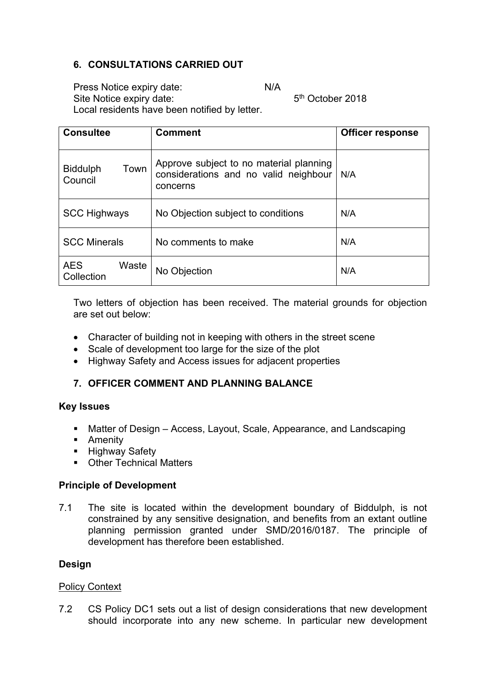# **6. CONSULTATIONS CARRIED OUT**

Press Notice expiry date: N/A

5<sup>th</sup> October 2018

Site Notice expiry date: Local residents have been notified by letter.

| <b>Consultee</b>                   | <b>Comment</b>                                                                               | <b>Officer response</b> |
|------------------------------------|----------------------------------------------------------------------------------------------|-------------------------|
| Town<br><b>Biddulph</b><br>Council | Approve subject to no material planning<br>considerations and no valid neighbour<br>concerns | N/A                     |
| <b>SCC Highways</b>                | No Objection subject to conditions                                                           | N/A                     |
| <b>SCC Minerals</b>                | No comments to make                                                                          | N/A                     |
| <b>AES</b><br>Waste<br>Collection  | No Objection                                                                                 | N/A                     |

Two letters of objection has been received. The material grounds for objection are set out below:

- Character of building not in keeping with others in the street scene
- Scale of development too large for the size of the plot
- Highway Safety and Access issues for adjacent properties

# **7. OFFICER COMMENT AND PLANNING BALANCE**

# **Key Issues**

- Matter of Design Access, Layout, Scale, Appearance, and Landscaping
- **-** Amenity
- **Highway Safety**
- Other Technical Matters

# **Principle of Development**

7.1 The site is located within the development boundary of Biddulph, is not constrained by any sensitive designation, and benefits from an extant outline planning permission granted under SMD/2016/0187. The principle of development has therefore been established.

# **Design**

# Policy Context

7.2 CS Policy DC1 sets out a list of design considerations that new development should incorporate into any new scheme. In particular new development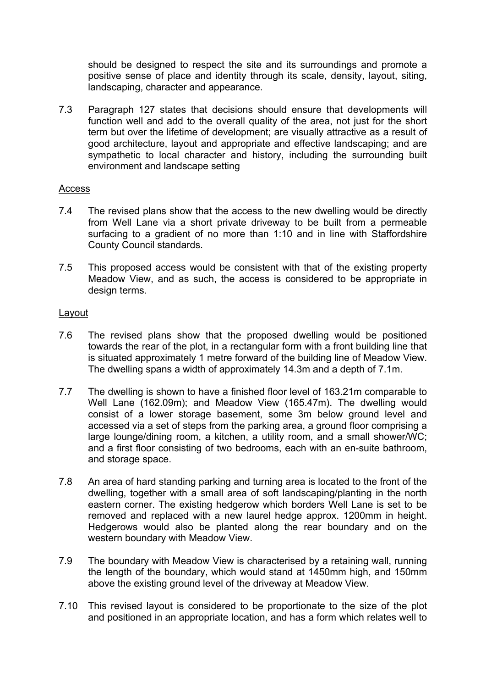should be designed to respect the site and its surroundings and promote a positive sense of place and identity through its scale, density, layout, siting, landscaping, character and appearance.

7.3 Paragraph 127 states that decisions should ensure that developments will function well and add to the overall quality of the area, not just for the short term but over the lifetime of development; are visually attractive as a result of good architecture, layout and appropriate and effective landscaping; and are sympathetic to local character and history, including the surrounding built environment and landscape setting

#### Access

- 7.4 The revised plans show that the access to the new dwelling would be directly from Well Lane via a short private driveway to be built from a permeable surfacing to a gradient of no more than 1:10 and in line with Staffordshire County Council standards.
- 7.5 This proposed access would be consistent with that of the existing property Meadow View, and as such, the access is considered to be appropriate in design terms.

#### Layout

- 7.6 The revised plans show that the proposed dwelling would be positioned towards the rear of the plot, in a rectangular form with a front building line that is situated approximately 1 metre forward of the building line of Meadow View. The dwelling spans a width of approximately 14.3m and a depth of 7.1m.
- 7.7 The dwelling is shown to have a finished floor level of 163.21m comparable to Well Lane (162.09m); and Meadow View (165.47m). The dwelling would consist of a lower storage basement, some 3m below ground level and accessed via a set of steps from the parking area, a ground floor comprising a large lounge/dining room, a kitchen, a utility room, and a small shower/WC; and a first floor consisting of two bedrooms, each with an en-suite bathroom, and storage space.
- 7.8 An area of hard standing parking and turning area is located to the front of the dwelling, together with a small area of soft landscaping/planting in the north eastern corner. The existing hedgerow which borders Well Lane is set to be removed and replaced with a new laurel hedge approx. 1200mm in height. Hedgerows would also be planted along the rear boundary and on the western boundary with Meadow View.
- 7.9 The boundary with Meadow View is characterised by a retaining wall, running the length of the boundary, which would stand at 1450mm high, and 150mm above the existing ground level of the driveway at Meadow View.
- 7.10 This revised layout is considered to be proportionate to the size of the plot and positioned in an appropriate location, and has a form which relates well to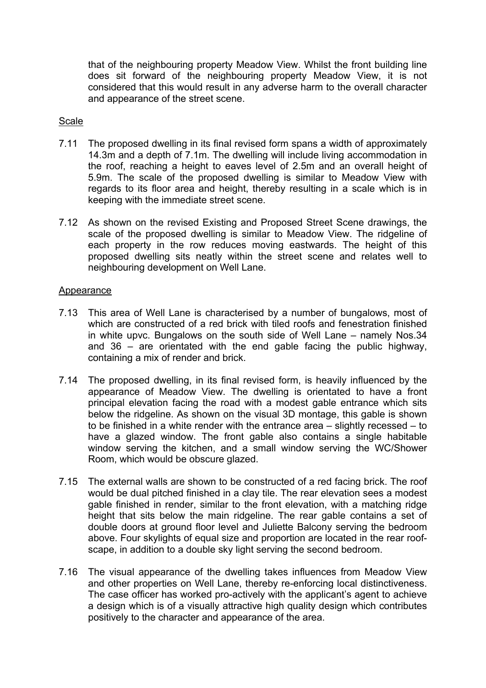that of the neighbouring property Meadow View. Whilst the front building line does sit forward of the neighbouring property Meadow View, it is not considered that this would result in any adverse harm to the overall character and appearance of the street scene.

# Scale

- 7.11 The proposed dwelling in its final revised form spans a width of approximately 14.3m and a depth of 7.1m. The dwelling will include living accommodation in the roof, reaching a height to eaves level of 2.5m and an overall height of 5.9m. The scale of the proposed dwelling is similar to Meadow View with regards to its floor area and height, thereby resulting in a scale which is in keeping with the immediate street scene.
- 7.12 As shown on the revised Existing and Proposed Street Scene drawings, the scale of the proposed dwelling is similar to Meadow View. The ridgeline of each property in the row reduces moving eastwards. The height of this proposed dwelling sits neatly within the street scene and relates well to neighbouring development on Well Lane.

#### Appearance

- 7.13 This area of Well Lane is characterised by a number of bungalows, most of which are constructed of a red brick with tiled roofs and fenestration finished in white upvc. Bungalows on the south side of Well Lane – namely Nos.34 and 36 – are orientated with the end gable facing the public highway, containing a mix of render and brick.
- 7.14 The proposed dwelling, in its final revised form, is heavily influenced by the appearance of Meadow View. The dwelling is orientated to have a front principal elevation facing the road with a modest gable entrance which sits below the ridgeline. As shown on the visual 3D montage, this gable is shown to be finished in a white render with the entrance area – slightly recessed – to have a glazed window. The front gable also contains a single habitable window serving the kitchen, and a small window serving the WC/Shower Room, which would be obscure glazed.
- 7.15 The external walls are shown to be constructed of a red facing brick. The roof would be dual pitched finished in a clay tile. The rear elevation sees a modest gable finished in render, similar to the front elevation, with a matching ridge height that sits below the main ridgeline. The rear gable contains a set of double doors at ground floor level and Juliette Balcony serving the bedroom above. Four skylights of equal size and proportion are located in the rear roofscape, in addition to a double sky light serving the second bedroom.
- 7.16 The visual appearance of the dwelling takes influences from Meadow View and other properties on Well Lane, thereby re-enforcing local distinctiveness. The case officer has worked pro-actively with the applicant's agent to achieve a design which is of a visually attractive high quality design which contributes positively to the character and appearance of the area.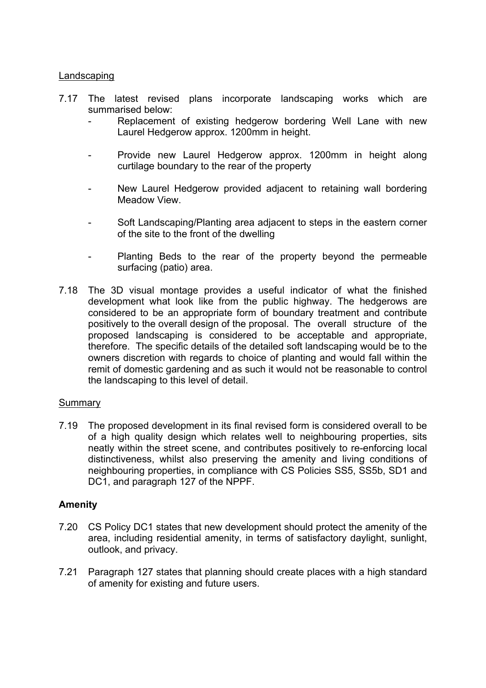### Landscaping

- 7.17 The latest revised plans incorporate landscaping works which are summarised below:
	- Replacement of existing hedgerow bordering Well Lane with new Laurel Hedgerow approx. 1200mm in height.
	- Provide new Laurel Hedgerow approx. 1200mm in height along curtilage boundary to the rear of the property
	- New Laurel Hedgerow provided adjacent to retaining wall bordering Meadow View.
	- Soft Landscaping/Planting area adjacent to steps in the eastern corner of the site to the front of the dwelling
	- Planting Beds to the rear of the property beyond the permeable surfacing (patio) area.
- 7.18 The 3D visual montage provides a useful indicator of what the finished development what look like from the public highway. The hedgerows are considered to be an appropriate form of boundary treatment and contribute positively to the overall design of the proposal. The overall structure of the proposed landscaping is considered to be acceptable and appropriate, therefore. The specific details of the detailed soft landscaping would be to the owners discretion with regards to choice of planting and would fall within the remit of domestic gardening and as such it would not be reasonable to control the landscaping to this level of detail.

#### Summary

7.19 The proposed development in its final revised form is considered overall to be of a high quality design which relates well to neighbouring properties, sits neatly within the street scene, and contributes positively to re-enforcing local distinctiveness, whilst also preserving the amenity and living conditions of neighbouring properties, in compliance with CS Policies SS5, SS5b, SD1 and DC1, and paragraph 127 of the NPPF.

# **Amenity**

- 7.20 CS Policy DC1 states that new development should protect the amenity of the area, including residential amenity, in terms of satisfactory daylight, sunlight, outlook, and privacy.
- 7.21 Paragraph 127 states that planning should create places with a high standard of amenity for existing and future users.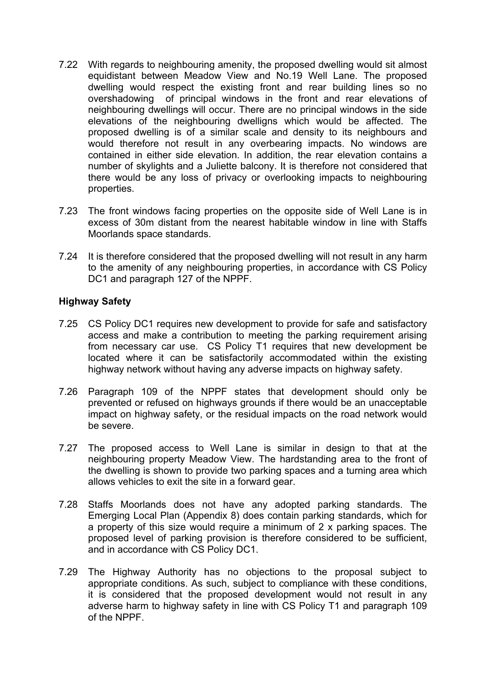- 7.22 With regards to neighbouring amenity, the proposed dwelling would sit almost equidistant between Meadow View and No.19 Well Lane. The proposed dwelling would respect the existing front and rear building lines so no overshadowing of principal windows in the front and rear elevations of neighbouring dwellings will occur. There are no principal windows in the side elevations of the neighbouring dwelligns which would be affected. The proposed dwelling is of a similar scale and density to its neighbours and would therefore not result in any overbearing impacts. No windows are contained in either side elevation. In addition, the rear elevation contains a number of skylights and a Juliette balcony. It is therefore not considered that there would be any loss of privacy or overlooking impacts to neighbouring properties.
- 7.23 The front windows facing properties on the opposite side of Well Lane is in excess of 30m distant from the nearest habitable window in line with Staffs Moorlands space standards.
- 7.24 It is therefore considered that the proposed dwelling will not result in any harm to the amenity of any neighbouring properties, in accordance with CS Policy DC1 and paragraph 127 of the NPPF.

# **Highway Safety**

- 7.25 CS Policy DC1 requires new development to provide for safe and satisfactory access and make a contribution to meeting the parking requirement arising from necessary car use. CS Policy T1 requires that new development be located where it can be satisfactorily accommodated within the existing highway network without having any adverse impacts on highway safety.
- 7.26 Paragraph 109 of the NPPF states that development should only be prevented or refused on highways grounds if there would be an unacceptable impact on highway safety, or the residual impacts on the road network would be severe.
- 7.27 The proposed access to Well Lane is similar in design to that at the neighbouring property Meadow View. The hardstanding area to the front of the dwelling is shown to provide two parking spaces and a turning area which allows vehicles to exit the site in a forward gear.
- 7.28 Staffs Moorlands does not have any adopted parking standards. The Emerging Local Plan (Appendix 8) does contain parking standards, which for a property of this size would require a minimum of 2 x parking spaces. The proposed level of parking provision is therefore considered to be sufficient, and in accordance with CS Policy DC1.
- 7.29 The Highway Authority has no objections to the proposal subject to appropriate conditions. As such, subject to compliance with these conditions, it is considered that the proposed development would not result in any adverse harm to highway safety in line with CS Policy T1 and paragraph 109 of the NPPF.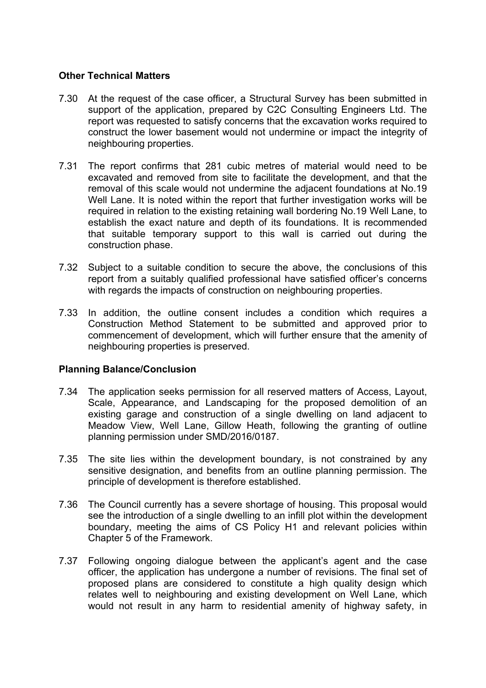### **Other Technical Matters**

- 7.30 At the request of the case officer, a Structural Survey has been submitted in support of the application, prepared by C2C Consulting Engineers Ltd. The report was requested to satisfy concerns that the excavation works required to construct the lower basement would not undermine or impact the integrity of neighbouring properties.
- 7.31 The report confirms that 281 cubic metres of material would need to be excavated and removed from site to facilitate the development, and that the removal of this scale would not undermine the adjacent foundations at No.19 Well Lane. It is noted within the report that further investigation works will be required in relation to the existing retaining wall bordering No.19 Well Lane, to establish the exact nature and depth of its foundations. It is recommended that suitable temporary support to this wall is carried out during the construction phase.
- 7.32 Subject to a suitable condition to secure the above, the conclusions of this report from a suitably qualified professional have satisfied officer's concerns with regards the impacts of construction on neighbouring properties.
- 7.33 In addition, the outline consent includes a condition which requires a Construction Method Statement to be submitted and approved prior to commencement of development, which will further ensure that the amenity of neighbouring properties is preserved.

# **Planning Balance/Conclusion**

- 7.34 The application seeks permission for all reserved matters of Access, Layout, Scale, Appearance, and Landscaping for the proposed demolition of an existing garage and construction of a single dwelling on land adjacent to Meadow View, Well Lane, Gillow Heath, following the granting of outline planning permission under SMD/2016/0187.
- 7.35 The site lies within the development boundary, is not constrained by any sensitive designation, and benefits from an outline planning permission. The principle of development is therefore established.
- 7.36 The Council currently has a severe shortage of housing. This proposal would see the introduction of a single dwelling to an infill plot within the development boundary, meeting the aims of CS Policy H1 and relevant policies within Chapter 5 of the Framework.
- 7.37 Following ongoing dialogue between the applicant's agent and the case officer, the application has undergone a number of revisions. The final set of proposed plans are considered to constitute a high quality design which relates well to neighbouring and existing development on Well Lane, which would not result in any harm to residential amenity of highway safety, in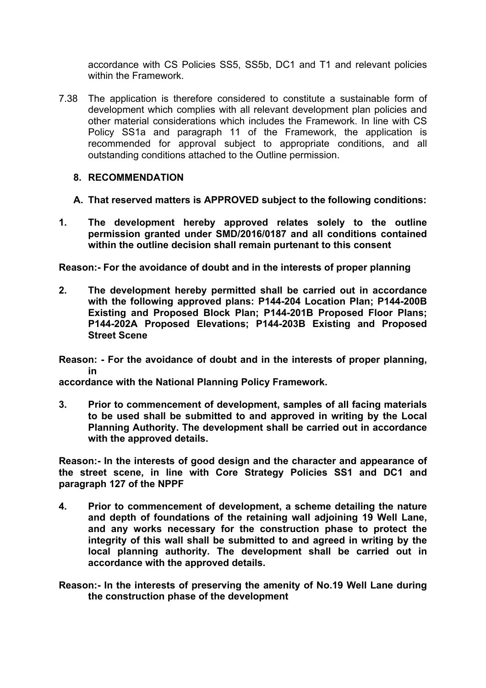accordance with CS Policies SS5, SS5b, DC1 and T1 and relevant policies within the Framework.

7.38 The application is therefore considered to constitute a sustainable form of development which complies with all relevant development plan policies and other material considerations which includes the Framework. In line with CS Policy SS1a and paragraph 11 of the Framework, the application is recommended for approval subject to appropriate conditions, and all outstanding conditions attached to the Outline permission.

# **8. RECOMMENDATION**

- **A. That reserved matters is APPROVED subject to the following conditions:**
- **1. The development hereby approved relates solely to the outline permission granted under SMD/2016/0187 and all conditions contained within the outline decision shall remain purtenant to this consent**

**Reason:- For the avoidance of doubt and in the interests of proper planning**

**2. The development hereby permitted shall be carried out in accordance with the following approved plans: P144-204 Location Plan; P144-200B Existing and Proposed Block Plan; P144-201B Proposed Floor Plans; P144-202A Proposed Elevations; P144-203B Existing and Proposed Street Scene**

**Reason: - For the avoidance of doubt and in the interests of proper planning, in**

**accordance with the National Planning Policy Framework.**

**3. Prior to commencement of development, samples of all facing materials to be used shall be submitted to and approved in writing by the Local Planning Authority. The development shall be carried out in accordance with the approved details.**

**Reason:- In the interests of good design and the character and appearance of the street scene, in line with Core Strategy Policies SS1 and DC1 and paragraph 127 of the NPPF**

- **4. Prior to commencement of development, a scheme detailing the nature and depth of foundations of the retaining wall adjoining 19 Well Lane, and any works necessary for the construction phase to protect the integrity of this wall shall be submitted to and agreed in writing by the local planning authority. The development shall be carried out in accordance with the approved details.**
- **Reason:- In the interests of preserving the amenity of No.19 Well Lane during the construction phase of the development**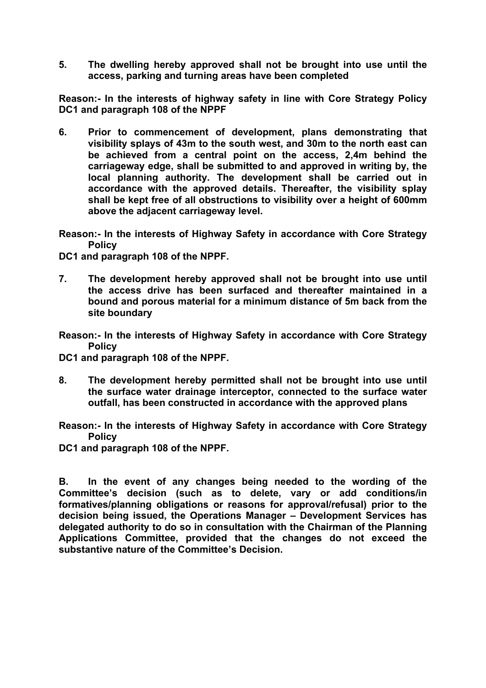**5. The dwelling hereby approved shall not be brought into use until the access, parking and turning areas have been completed**

**Reason:- In the interests of highway safety in line with Core Strategy Policy DC1 and paragraph 108 of the NPPF**

- **6. Prior to commencement of development, plans demonstrating that visibility splays of 43m to the south west, and 30m to the north east can be achieved from a central point on the access, 2,4m behind the carriageway edge, shall be submitted to and approved in writing by, the local planning authority. The development shall be carried out in accordance with the approved details. Thereafter, the visibility splay shall be kept free of all obstructions to visibility over a height of 600mm above the adjacent carriageway level.**
- **Reason:- In the interests of Highway Safety in accordance with Core Strategy Policy**

**DC1 and paragraph 108 of the NPPF.**

- **7. The development hereby approved shall not be brought into use until the access drive has been surfaced and thereafter maintained in a bound and porous material for a minimum distance of 5m back from the site boundary**
- **Reason:- In the interests of Highway Safety in accordance with Core Strategy Policy**

**DC1 and paragraph 108 of the NPPF.**

**8. The development hereby permitted shall not be brought into use until the surface water drainage interceptor, connected to the surface water outfall, has been constructed in accordance with the approved plans**

**Reason:- In the interests of Highway Safety in accordance with Core Strategy Policy**

**DC1 and paragraph 108 of the NPPF.**

**B. In the event of any changes being needed to the wording of the Committee's decision (such as to delete, vary or add conditions/in formatives/planning obligations or reasons for approval/refusal) prior to the decision being issued, the Operations Manager – Development Services has delegated authority to do so in consultation with the Chairman of the Planning Applications Committee, provided that the changes do not exceed the substantive nature of the Committee's Decision.**